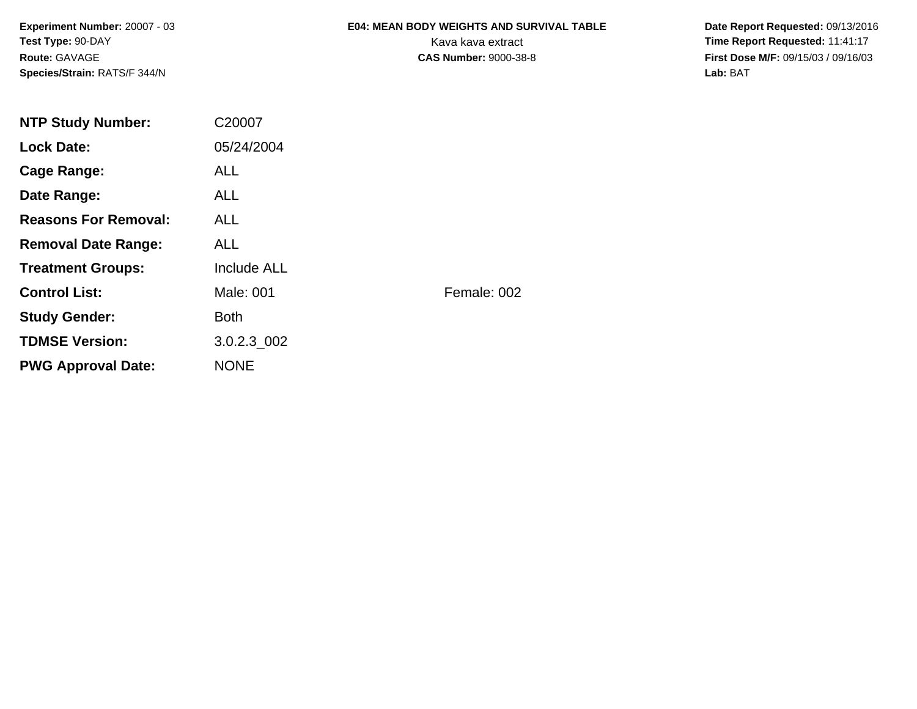**Experiment Number:** 20007 - 03**Test Type:** 90-DAY**Route:** GAVAGE**Species/Strain:** RATS/F 344/N

# **E04: MEAN BODY WEIGHTS AND SURVIVAL TABLE**

 **Date Report Requested:** 09/13/2016 Kava kava extract **Time Report Requested:** 11:41:17<br>**CAS Number:** 9000-38-8 **Time Report Requested:** 11:41:17 **First Dose M/F:** 09/15/03 / 09/16/03<br>Lab: BAT **Lab:** BAT

| <b>NTP Study Number:</b>    | C20007      |             |
|-----------------------------|-------------|-------------|
| <b>Lock Date:</b>           | 05/24/2004  |             |
| Cage Range:                 | <b>ALL</b>  |             |
| Date Range:                 | ALL.        |             |
| <b>Reasons For Removal:</b> | <b>ALL</b>  |             |
| <b>Removal Date Range:</b>  | ALL.        |             |
| <b>Treatment Groups:</b>    | Include ALL |             |
| <b>Control List:</b>        | Male: 001   | Female: 002 |
| <b>Study Gender:</b>        | <b>Both</b> |             |
| <b>TDMSE Version:</b>       | 3.0.2.3 002 |             |
| <b>PWG Approval Date:</b>   | <b>NONE</b> |             |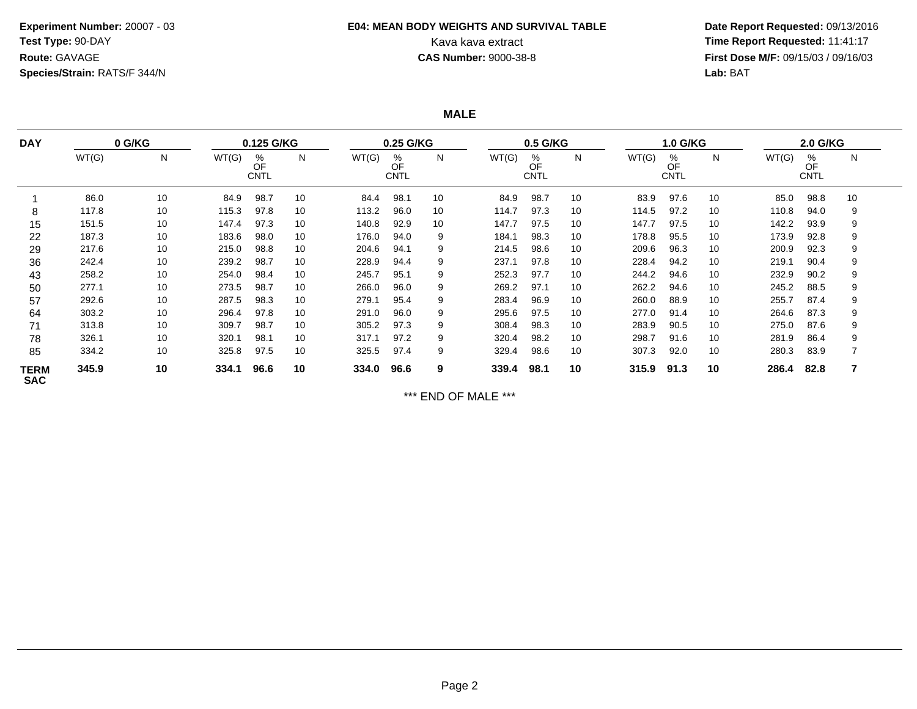### **Experiment Number:** 20007 - 03**Test Type:** 90-DAY**Route:** GAVAGE**Species/Strain:** RATS/F 344/N

## **E04: MEAN BODY WEIGHTS AND SURVIVAL TABLE**

 **Date Report Requested:** 09/13/2016 Kava kava extract **Time Report Requested:** 11:41:17<br>**CAS Number:** 9000-38-8 **Time Report Requested:** 11:41:17 **First Dose M/F:** 09/15/03 / 09/16/03<br>Lab: BAT **Lab:** BAT

**MALE**

| <b>DAY</b>                | 0 G/KG |    | 0.25 G/KG<br>0.125 G/KG |                        |    |       |                        |    | $0.5$ G/KG |                        | <b>1.0 G/KG</b> |       | 2.0 G/KG               |    |       |                        |    |
|---------------------------|--------|----|-------------------------|------------------------|----|-------|------------------------|----|------------|------------------------|-----------------|-------|------------------------|----|-------|------------------------|----|
|                           | WT(G)  | N  | WT(G)                   | %<br>OF<br><b>CNTL</b> | N  | WT(G) | %<br>OF<br><b>CNTL</b> | N  | WT(G)      | %<br>OF<br><b>CNTL</b> | N               | WT(G) | %<br>OF<br><b>CNTL</b> | N  | WT(G) | %<br>OF<br><b>CNTL</b> | N  |
|                           | 86.0   | 10 | 84.9                    | 98.7                   | 10 | 84.4  | 98.1                   | 10 | 84.9       | 98.7                   | 10              | 83.9  | 97.6                   | 10 | 85.0  | 98.8                   | 10 |
| 8                         | 117.8  | 10 | 115.3                   | 97.8                   | 10 | 113.2 | 96.0                   | 10 | 114.7      | 97.3                   | 10              | 114.5 | 97.2                   | 10 | 110.8 | 94.0                   | 9  |
| 15                        | 151.5  | 10 | 147.4                   | 97.3                   | 10 | 140.8 | 92.9                   | 10 | 147.7      | 97.5                   | 10              | 147.7 | 97.5                   | 10 | 142.2 | 93.9                   | 9  |
| 22                        | 187.3  | 10 | 183.6                   | 98.0                   | 10 | 176.0 | 94.0                   | 9  | 184.1      | 98.3                   | 10              | 178.8 | 95.5                   | 10 | 173.9 | 92.8                   | 9  |
| 29                        | 217.6  | 10 | 215.0                   | 98.8                   | 10 | 204.6 | 94.1                   | 9  | 214.5      | 98.6                   | 10              | 209.6 | 96.3                   | 10 | 200.9 | 92.3                   | 9  |
| 36                        | 242.4  | 10 | 239.2                   | 98.7                   | 10 | 228.9 | 94.4                   | 9  | 237.1      | 97.8                   | 10              | 228.4 | 94.2                   | 10 | 219.1 | 90.4                   | 9  |
| 43                        | 258.2  | 10 | 254.0                   | 98.4                   | 10 | 245.7 | 95.1                   | 9  | 252.3      | 97.7                   | 10              | 244.2 | 94.6                   | 10 | 232.9 | 90.2                   | 9  |
| 50                        | 277.1  | 10 | 273.5                   | 98.7                   | 10 | 266.0 | 96.0                   | 9  | 269.2      | 97.1                   | 10              | 262.2 | 94.6                   | 10 | 245.2 | 88.5                   | 9  |
| 57                        | 292.6  | 10 | 287.5                   | 98.3                   | 10 | 279.1 | 95.4                   | 9  | 283.4      | 96.9                   | 10              | 260.0 | 88.9                   | 10 | 255.7 | 87.4                   | 9  |
| 64                        | 303.2  | 10 | 296.4                   | 97.8                   | 10 | 291.0 | 96.0                   | 9  | 295.6      | 97.5                   | 10              | 277.0 | 91.4                   | 10 | 264.6 | 87.3                   | 9  |
| 71                        | 313.8  | 10 | 309.7                   | 98.7                   | 10 | 305.2 | 97.3                   | 9  | 308.4      | 98.3                   | 10              | 283.9 | 90.5                   | 10 | 275.0 | 87.6                   | 9  |
| 78                        | 326.1  | 10 | 320.1                   | 98.1                   | 10 | 317.1 | 97.2                   | 9  | 320.4      | 98.2                   | 10              | 298.7 | 91.6                   | 10 | 281.9 | 86.4                   | 9  |
| 85                        | 334.2  | 10 | 325.8                   | 97.5                   | 10 | 325.5 | 97.4                   | 9  | 329.4      | 98.6                   | 10              | 307.3 | 92.0                   | 10 | 280.3 | 83.9                   |    |
| <b>TERM</b><br><b>SAC</b> | 345.9  | 10 | 334.1                   | 96.6                   | 10 | 334.0 | 96.6                   | 9  | 339.4      | 98.1                   | 10              | 315.9 | 91.3                   | 10 | 286.4 | 82.8                   | 7  |

\*\*\* END OF MALE \*\*\*